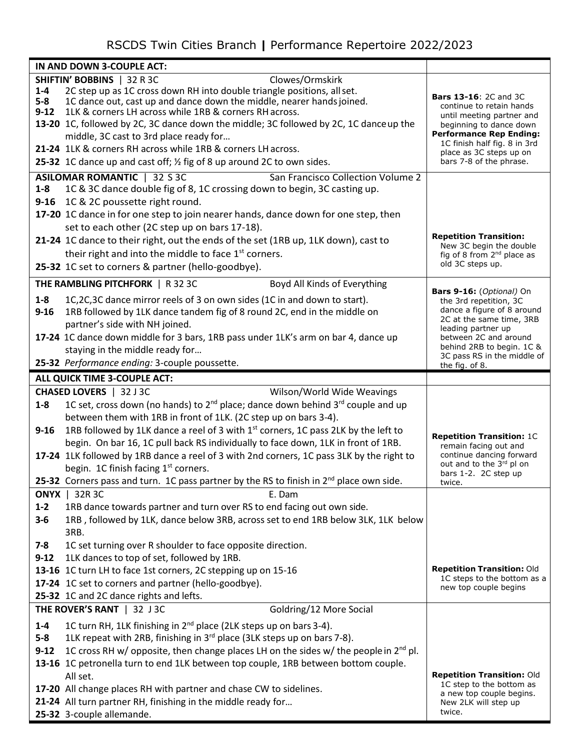## RSCDS Twin Cities Branch **|** Performance Repertoire 2022/2023

|                                               | IN AND DOWN 3-COUPLE ACT:                                                                                                                                                                                  |                                                                                       |  |  |
|-----------------------------------------------|------------------------------------------------------------------------------------------------------------------------------------------------------------------------------------------------------------|---------------------------------------------------------------------------------------|--|--|
| SHIFTIN' BOBBINS   32 R 3C<br>Clowes/Ormskirk |                                                                                                                                                                                                            |                                                                                       |  |  |
| $1 - 4$<br>$5 - 8$<br>$9 - 12$                | 2C step up as 1C cross down RH into double triangle positions, all set.<br>1C dance out, cast up and dance down the middle, nearer hands joined.<br>1LK & corners LH across while 1RB & corners RH across. | <b>Bars 13-16: 2C and 3C</b><br>continue to retain hands<br>until meeting partner and |  |  |
|                                               | 13-20 1C, followed by 2C, 3C dance down the middle; 3C followed by 2C, 1C dance up the                                                                                                                     | beginning to dance down<br><b>Performance Rep Ending:</b>                             |  |  |
|                                               | middle, 3C cast to 3rd place ready for<br>21-24 1LK & corners RH across while 1RB & corners LH across.                                                                                                     | 1C finish half fig. 8 in 3rd                                                          |  |  |
|                                               | 25-32 1C dance up and cast off; 1/2 fig of 8 up around 2C to own sides.                                                                                                                                    | place as 3C steps up on<br>bars 7-8 of the phrase.                                    |  |  |
|                                               |                                                                                                                                                                                                            |                                                                                       |  |  |
| $1 - 8$                                       | <b>ASILOMAR ROMANTIC</b>   32 S 3C<br>San Francisco Collection Volume 2<br>1C & 3C dance double fig of 8, 1C crossing down to begin, 3C casting up.                                                        |                                                                                       |  |  |
|                                               | 9-16 1C & 2C poussette right round.                                                                                                                                                                        |                                                                                       |  |  |
|                                               | 17-20 1C dance in for one step to join nearer hands, dance down for one step, then                                                                                                                         |                                                                                       |  |  |
|                                               | set to each other (2C step up on bars 17-18).                                                                                                                                                              |                                                                                       |  |  |
|                                               | 21-24 1C dance to their right, out the ends of the set (1RB up, 1LK down), cast to                                                                                                                         | <b>Repetition Transition:</b>                                                         |  |  |
|                                               | their right and into the middle to face 1 <sup>st</sup> corners.                                                                                                                                           | New 3C begin the double<br>fig of 8 from 2 <sup>nd</sup> place as                     |  |  |
|                                               | 25-32 1C set to corners & partner (hello-goodbye).                                                                                                                                                         | old 3C steps up.                                                                      |  |  |
|                                               | THE RAMBLING PITCHFORK   R 32 3C                                                                                                                                                                           |                                                                                       |  |  |
|                                               | Boyd All Kinds of Everything                                                                                                                                                                               | <b>Bars 9-16:</b> (Optional) On                                                       |  |  |
| $1-8$                                         | 1C,2C,3C dance mirror reels of 3 on own sides (1C in and down to start).                                                                                                                                   | the 3rd repetition, 3C<br>dance a figure of 8 around                                  |  |  |
| $9 - 16$                                      | 1RB followed by 1LK dance tandem fig of 8 round 2C, end in the middle on                                                                                                                                   | 2C at the same time, 3RB                                                              |  |  |
|                                               | partner's side with NH joined.<br>17-24 1C dance down middle for 3 bars, 1RB pass under 1LK's arm on bar 4, dance up                                                                                       | leading partner up<br>between 2C and around                                           |  |  |
|                                               | staying in the middle ready for                                                                                                                                                                            | behind 2RB to begin. 1C &                                                             |  |  |
|                                               | 25-32 Performance ending: 3-couple poussette.                                                                                                                                                              | 3C pass RS in the middle of                                                           |  |  |
|                                               | ALL QUICK TIME 3-COUPLE ACT:                                                                                                                                                                               | the fig. of 8.                                                                        |  |  |
|                                               | CHASED LOVERS   32 J 3C<br>Wilson/World Wide Weavings                                                                                                                                                      |                                                                                       |  |  |
| $1 - 8$                                       | 1C set, cross down (no hands) to $2^{nd}$ place; dance down behind $3^{rd}$ couple and up                                                                                                                  |                                                                                       |  |  |
|                                               | between them with 1RB in front of 1LK. (2C step up on bars 3-4).                                                                                                                                           |                                                                                       |  |  |
| $9 - 16$                                      | 1RB followed by 1LK dance a reel of 3 with 1 <sup>st</sup> corners, 1C pass 2LK by the left to                                                                                                             |                                                                                       |  |  |
|                                               | begin. On bar 16, 1C pull back RS individually to face down, 1LK in front of 1RB.                                                                                                                          | <b>Repetition Transition: 1C</b><br>remain facing out and                             |  |  |
|                                               | 17-24 1LK followed by 1RB dance a reel of 3 with 2nd corners, 1C pass 3LK by the right to                                                                                                                  | continue dancing forward                                                              |  |  |
|                                               | begin. 1C finish facing 1 <sup>st</sup> corners.                                                                                                                                                           | out and to the 3rd pl on<br>bars 1-2. 2C step up                                      |  |  |
|                                               | 25-32 Corners pass and turn. 1C pass partner by the RS to finish in 2 <sup>nd</sup> place own side.                                                                                                        | twice.                                                                                |  |  |
|                                               | <b>ONYX</b>   32R 3C<br>E. Dam                                                                                                                                                                             |                                                                                       |  |  |
| $1 - 2$                                       | 1RB dance towards partner and turn over RS to end facing out own side.                                                                                                                                     |                                                                                       |  |  |
| $3 - 6$                                       | 1RB, followed by 1LK, dance below 3RB, across set to end 1RB below 3LK, 1LK below                                                                                                                          |                                                                                       |  |  |
| $7 - 8$                                       | 3RB.<br>1C set turning over R shoulder to face opposite direction.                                                                                                                                         |                                                                                       |  |  |
| $9 - 12$                                      | 1LK dances to top of set, followed by 1RB.                                                                                                                                                                 |                                                                                       |  |  |
|                                               | 13-16 1C turn LH to face 1st corners, 2C stepping up on 15-16                                                                                                                                              | <b>Repetition Transition: Old</b>                                                     |  |  |
|                                               | 17-24 1C set to corners and partner (hello-goodbye).                                                                                                                                                       | 1C steps to the bottom as a                                                           |  |  |
|                                               | 25-32 1C and 2C dance rights and lefts.                                                                                                                                                                    | new top couple begins                                                                 |  |  |
|                                               | Goldring/12 More Social<br>THE ROVER'S RANT   32 J 3C                                                                                                                                                      |                                                                                       |  |  |
| $1 - 4$                                       | 1C turn RH, 1LK finishing in 2 <sup>nd</sup> place (2LK steps up on bars 3-4).                                                                                                                             |                                                                                       |  |  |
| $5-8$                                         | 1LK repeat with 2RB, finishing in 3rd place (3LK steps up on bars 7-8).                                                                                                                                    |                                                                                       |  |  |
| $9 - 12$                                      | 1C cross RH w/ opposite, then change places LH on the sides w/ the people in $2^{nd}$ pl.                                                                                                                  |                                                                                       |  |  |
|                                               | 13-16 1C petronella turn to end 1LK between top couple, 1RB between bottom couple.                                                                                                                         |                                                                                       |  |  |
|                                               | All set.                                                                                                                                                                                                   | Repetition Transition: Old                                                            |  |  |
|                                               | 17-20 All change places RH with partner and chase CW to sidelines.                                                                                                                                         | 1C step to the bottom as<br>a new top couple begins.                                  |  |  |
|                                               | 21-24 All turn partner RH, finishing in the middle ready for                                                                                                                                               | New 2LK will step up                                                                  |  |  |
|                                               | 25-32 3-couple allemande.                                                                                                                                                                                  | twice.                                                                                |  |  |